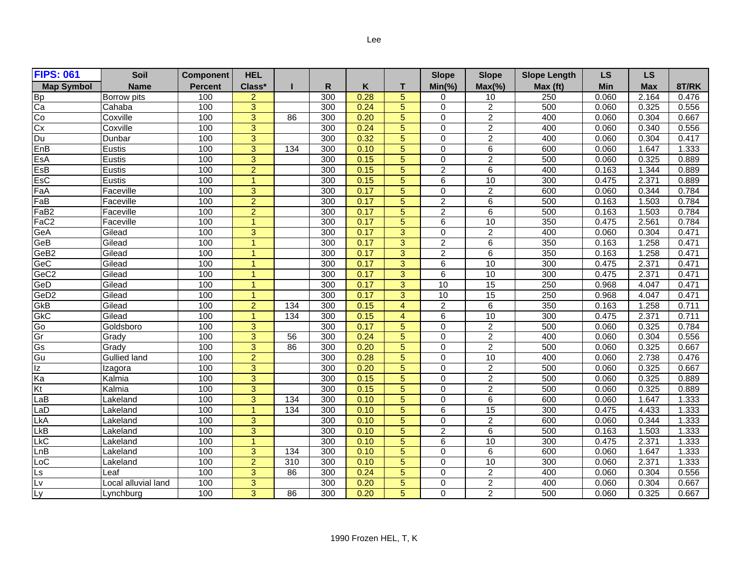| <b>FIPS: 061</b>  | Soil                | <b>Component</b> | <b>HEL</b>           |                 |     |      |                | <b>Slope</b>   | <b>Slope</b>    | <b>Slope Length</b> | LS    | <b>LS</b>  |       |
|-------------------|---------------------|------------------|----------------------|-----------------|-----|------|----------------|----------------|-----------------|---------------------|-------|------------|-------|
| <b>Map Symbol</b> | <b>Name</b>         | <b>Percent</b>   | Class*               |                 | R   | Κ    |                | $Min(\% )$     | $Max(\% )$      | Max (ft)            | Min   | <b>Max</b> | 8T/RK |
|                   | Borrow pits         | 100              | $\overline{2}$       |                 | 300 | 0.28 | 5              | 0              | 10              | 250                 | 0.060 | 2.164      | 0.476 |
| Bp<br>Ca          | Cahaba              | 100              | 3                    |                 | 300 | 0.24 | 5              | $\Omega$       | $\overline{2}$  | 500                 | 0.060 | 0.325      | 0.556 |
| Co                | Coxville            | 100              | $\overline{3}$       | 86              | 300 | 0.20 | 5              | $\Omega$       | $\overline{2}$  | 400                 | 0.060 | 0.304      | 0.667 |
| Cx                | Coxville            | 100              | $\overline{3}$       |                 | 300 | 0.24 | 5              | 0              | $\overline{2}$  | 400                 | 0.060 | 0.340      | 0.556 |
| Du<br>EnB         | Dunbar              | 100              | $\overline{3}$       |                 | 300 | 0.32 | 5              | 0              | $\overline{2}$  | 400                 | 0.060 | 0.304      | 0.417 |
|                   | Eustis              | 100              | $\overline{3}$       | 134             | 300 | 0.10 | 5              | $\Omega$       | $\,6$           | 600                 | 0.060 | 1.647      | 1.333 |
| EsA               | Eustis              | 100              | $\overline{3}$       |                 | 300 | 0.15 | 5              | $\Omega$       | $\overline{2}$  | 500                 | 0.060 | 0.325      | 0.889 |
| EsB               | Eustis              | 100              | $\overline{2}$       |                 | 300 | 0.15 | 5              | $\overline{2}$ | 6               | 400                 | 0.163 | 1.344      | 0.889 |
| EsC               | Eustis              | 100              | $\blacktriangleleft$ |                 | 300 | 0.15 | 5              | 6              | 10              | 300                 | 0.475 | 2.371      | 0.889 |
| FaA               | Faceville           | 100              | 3                    |                 | 300 | 0.17 | 5              | 0              | $\overline{c}$  | 600                 | 0.060 | 0.344      | 0.784 |
| FaB               | Faceville           | 100              | $\overline{2}$       |                 | 300 | 0.17 | 5              | $\overline{2}$ | 6               | 500                 | 0.163 | 1.503      | 0.784 |
| FaB <sub>2</sub>  | Faceville           | 100              | $\overline{2}$       |                 | 300 | 0.17 | 5              | $\overline{2}$ | $\overline{6}$  | 500                 | 0.163 | 1.503      | 0.784 |
| FaC <sub>2</sub>  | Faceville           | 100              | $\blacktriangleleft$ |                 | 300 | 0.17 | 5              | 6              | 10              | 350                 | 0.475 | 2.561      | 0.784 |
| GeA               | Gilead              | 100              | $\overline{3}$       |                 | 300 | 0.17 | 3              | 0              | $\overline{2}$  | 400                 | 0.060 | 0.304      | 0.471 |
| GeB               | Gilead              | 100              | 1                    |                 | 300 | 0.17 | 3              | $\overline{2}$ | 6               | 350                 | 0.163 | 1.258      | 0.471 |
| GeB <sub>2</sub>  | Gilead              | 100              | -1                   |                 | 300 | 0.17 | 3              | $\overline{2}$ | 6               | 350                 | 0.163 | 1.258      | 0.471 |
| GeC               | Gilead              | 100              | $\mathbf{1}$         |                 | 300 | 0.17 | 3              | 6              | $\overline{10}$ | 300                 | 0.475 | 2.371      | 0.471 |
| GeC <sub>2</sub>  | Gilead              | 100              | $\blacktriangleleft$ |                 | 300 | 0.17 | 3              | 6              | 10              | 300                 | 0.475 | 2.371      | 0.471 |
| GeD               | Gilead              | 100              | $\blacktriangleleft$ |                 | 300 | 0.17 | $\overline{3}$ | 10             | $\overline{15}$ | 250                 | 0.968 | 4.047      | 0.471 |
| GeD <sub>2</sub>  | Gilead              | 100              | 1                    |                 | 300 | 0.17 | 3              | 10             | 15              | 250                 | 0.968 | 4.047      | 0.471 |
| GkB               | Gilead              | 100              | $\overline{2}$       | 134             | 300 | 0.15 | 4              | $\overline{c}$ | 6               | 350                 | 0.163 | 1.258      | 0.711 |
| GkC               | Gilead              | 100              | $\overline{1}$       | 134             | 300 | 0.15 | $\overline{4}$ | 6              | 10              | 300                 | 0.475 | 2.371      | 0.711 |
| Go                | Goldsboro           | 100              | 3                    |                 | 300 | 0.17 | 5              | $\Omega$       | $\overline{2}$  | 500                 | 0.060 | 0.325      | 0.784 |
| Gr                | Grady               | 100              | $\overline{3}$       | $\overline{56}$ | 300 | 0.24 | $\overline{5}$ | 0              | $\overline{2}$  | 400                 | 0.060 | 0.304      | 0.556 |
| Gs                | Grady               | 100              | 3                    | 86              | 300 | 0.20 | 5              | 0              | $\overline{2}$  | 500                 | 0.060 | 0.325      | 0.667 |
| $rac{1}{2}$       | <b>Gullied land</b> | 100              | $\overline{2}$       |                 | 300 | 0.28 | 5              | $\Omega$       | 10              | 400                 | 0.060 | 2.738      | 0.476 |
|                   | Izagora             | 100              | 3                    |                 | 300 | 0.20 | 5              | $\Omega$       | $\overline{2}$  | 500                 | 0.060 | 0.325      | 0.667 |
| Ka                | Kalmia              | 100              | 3                    |                 | 300 | 0.15 | 5              | $\Omega$       | $\overline{c}$  | 500                 | 0.060 | 0.325      | 0.889 |
| Kt                | Kalmia              | 100              | $\overline{3}$       |                 | 300 | 0.15 | 5              | $\Omega$       | $\overline{2}$  | 500                 | 0.060 | 0.325      | 0.889 |
| LaB               | Lakeland            | 100              | 3                    | 134             | 300 | 0.10 | 5              | 0              | 6               | 600                 | 0.060 | 1.647      | 1.333 |
| LaD               | Lakeland            | 100              | $\mathbf{1}$         | 134             | 300 | 0.10 | 5              | 6              | 15              | 300                 | 0.475 | 4.433      | 1.333 |
| LkA               | Lakeland            | 100              | $\overline{3}$       |                 | 300 | 0.10 | 5              | $\Omega$       | $\overline{2}$  | 600                 | 0.060 | 0.344      | 1.333 |
| LkB               | Lakeland            | 100              | $\overline{3}$       |                 | 300 | 0.10 | $\overline{5}$ | $\overline{2}$ | $\overline{6}$  | 500                 | 0.163 | 1.503      | 1.333 |
| LkC               | Lakeland            | 100              | $\blacktriangleleft$ |                 | 300 | 0.10 | 5              | 6              | 10              | 300                 | 0.475 | 2.371      | 1.333 |
| LnB               | Lakeland            | 100              | 3                    | 134             | 300 | 0.10 | 5              | 0              | 6               | 600                 | 0.060 | 1.647      | 1.333 |
| LoC               | Lakeland            | 100              | $\overline{2}$       | 310             | 300 | 0.10 | 5              | 0              | 10              | 300                 | 0.060 | 2.371      | 1.333 |
|                   | Leaf                | 100              | 3                    | 86              | 300 | 0.24 | 5              | 0              | $\overline{2}$  | 400                 | 0.060 | 0.304      | 0.556 |
|                   | Local alluvial land | 100              | $\overline{3}$       |                 | 300 | 0.20 | 5              | 0              | $\overline{2}$  | 400                 | 0.060 | 0.304      | 0.667 |
| Ls<br>Lv<br>Ly    | Lynchburg           | 100              | 3                    | 86              | 300 | 0.20 | 5              | $\Omega$       | $\overline{2}$  | 500                 | 0.060 | 0.325      | 0.667 |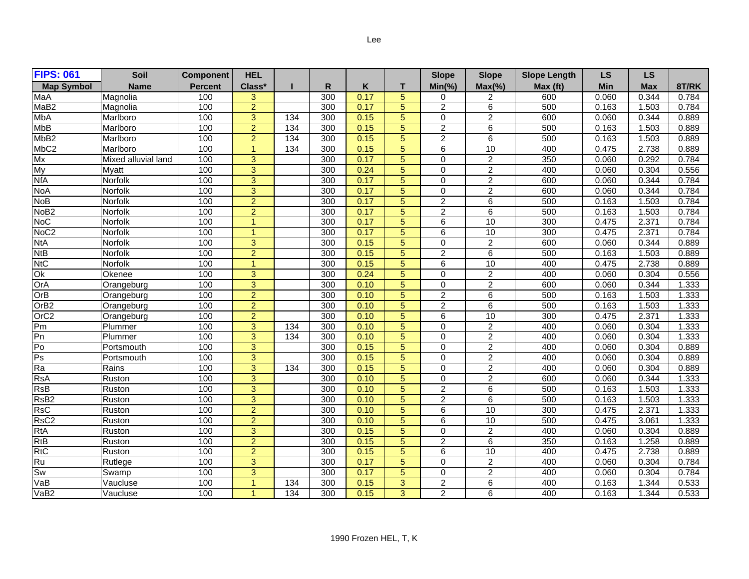| <b>FIPS: 061</b>  | Soil                | <b>Component</b> | <b>HEL</b>     |                |     |      |   | <b>Slope</b>   | <b>Slope</b>   | <b>Slope Length</b> | <b>LS</b> | <b>LS</b>  |       |
|-------------------|---------------------|------------------|----------------|----------------|-----|------|---|----------------|----------------|---------------------|-----------|------------|-------|
| <b>Map Symbol</b> | <b>Name</b>         | <b>Percent</b>   | Class*         |                | R   | K    |   | $Min(\% )$     | $Max(\% )$     | Max (ft)            | Min       | <b>Max</b> | 8T/RK |
| MaA               | Magnolia            | 100              | 3              |                | 300 | 0.17 | 5 | 0              | 2              | 600                 | 0.060     | 0.344      | 0.784 |
| MaB <sub>2</sub>  | Magnolia            | 100              | $\overline{2}$ |                | 300 | 0.17 | 5 | $\overline{2}$ | 6              | 500                 | 0.163     | 1.503      | 0.784 |
| <b>MbA</b>        | Marlboro            | 100              | $\overline{3}$ | 134            | 300 | 0.15 | 5 | $\Omega$       | $\overline{2}$ | 600                 | 0.060     | 0.344      | 0.889 |
| <b>MbB</b>        | Marlboro            | 100              | $\overline{2}$ | 134            | 300 | 0.15 | 5 | 2              | 6              | 500                 | 0.163     | 1.503      | 0.889 |
| MbB <sub>2</sub>  | Marlboro            | 100              | $\overline{2}$ | 134            | 300 | 0.15 | 5 | 2              | $\overline{6}$ | 500                 | 0.163     | 1.503      | 0.889 |
| MbC <sub>2</sub>  | Marlboro            | 100              | $\mathbf{1}$   | 134            | 300 | 0.15 | 5 | 6              | 10             | 400                 | 0.475     | 2.738      | 0.889 |
| Mx                | Mixed alluvial land | 100              | 3              |                | 300 | 0.17 | 5 | $\Omega$       | $\overline{2}$ | 350                 | 0.060     | 0.292      | 0.784 |
| My                | Myatt               | 100              | 3              |                | 300 | 0.24 | 5 | $\Omega$       | $\overline{2}$ | 400                 | 0.060     | 0.304      | 0.556 |
| <b>NfA</b>        | <b>Norfolk</b>      | 100              | 3              |                | 300 | 0.17 | 5 | $\Omega$       | $\overline{2}$ | 600                 | 0.060     | 0.344      | 0.784 |
| <b>NoA</b>        | Norfolk             | 100              | $\overline{3}$ |                | 300 | 0.17 | 5 | $\mathbf 0$    | $\overline{c}$ | 600                 | 0.060     | 0.344      | 0.784 |
| <b>NoB</b>        | Norfolk             | 100              | $\overline{2}$ |                | 300 | 0.17 | 5 | 2              | 6              | 500                 | 0.163     | 1.503      | 0.784 |
| No <sub>B2</sub>  | Norfolk             | 100              | $\overline{2}$ |                | 300 | 0.17 | 5 | $\overline{2}$ | 6              | 500                 | 0.163     | 1.503      | 0.784 |
| <b>NoC</b>        | Norfolk             | 100              | $\overline{1}$ |                | 300 | 0.17 | 5 | 6              | 10             | 300                 | 0.475     | 2.371      | 0.784 |
| NoC <sub>2</sub>  | Norfolk             | 100              | $\mathbf{1}$   |                | 300 | 0.17 | 5 | 6              | 10             | 300                 | 0.475     | 2.371      | 0.784 |
| <b>NtA</b>        | Norfolk             | 100              | 3              |                | 300 | 0.15 | 5 | $\Omega$       | $\overline{2}$ | 600                 | 0.060     | 0.344      | 0.889 |
| <b>NtB</b>        | Norfolk             | 100              | $\overline{a}$ |                | 300 | 0.15 | 5 | 2              | 6              | 500                 | 0.163     | 1.503      | 0.889 |
| <b>NtC</b>        | Norfolk             | 100              | $\overline{1}$ |                | 300 | 0.15 | 5 | 6              | 10             | 400                 | 0.475     | 2.738      | 0.889 |
| Ok                | Okenee              | 100              | 3              |                | 300 | 0.24 | 5 | $\Omega$       | $\overline{2}$ | 400                 | 0.060     | 0.304      | 0.556 |
| OrA               | Orangeburg          | 100              | $\overline{3}$ |                | 300 | 0.10 | 5 | $\mathbf 0$    | $\overline{c}$ | 600                 | 0.060     | 0.344      | 1.333 |
| OrB               | Orangeburg          | 100              | $\overline{a}$ |                | 300 | 0.10 | 5 | 2              | 6              | 500                 | 0.163     | 1.503      | 1.333 |
| OrB <sub>2</sub>  | Orangeburg          | 100              | $\overline{a}$ |                | 300 | 0.10 | 5 | $\overline{c}$ | 6              | 500                 | 0.163     | 1.503      | 1.333 |
| OrC <sub>2</sub>  | Orangeburg          | 100              | $\overline{2}$ |                | 300 | 0.10 | 5 | 6              | 10             | 300                 | 0.475     | 2.371      | 1.333 |
| Pm                | Plummer             | 100              | 3              | 134            | 300 | 0.10 | 5 | $\Omega$       | $\overline{2}$ | 400                 | 0.060     | 0.304      | 1.333 |
| Pn                | Plummer             | 100              | $\overline{3}$ | $\frac{1}{34}$ | 300 | 0.10 | 5 | $\mathbf 0$    | $\overline{2}$ | 400                 | 0.060     | 0.304      | 1.333 |
| Po                | Portsmouth          | 100              | 3              |                | 300 | 0.15 | 5 | 0              | $\overline{c}$ | 400                 | 0.060     | 0.304      | 0.889 |
| P <sub>S</sub>    | Portsmouth          | 100              | 3              |                | 300 | 0.15 | 5 | $\Omega$       | $\overline{c}$ | 400                 | 0.060     | 0.304      | 0.889 |
| Ra                | Rains               | 100              | 3              | 134            | 300 | 0.15 | 5 | $\Omega$       | $\overline{2}$ | 400                 | 0.060     | 0.304      | 0.889 |
| <b>RsA</b>        | Ruston              | 100              | 3              |                | 300 | 0.10 | 5 | $\Omega$       | $\overline{c}$ | 600                 | 0.060     | 0.344      | 1.333 |
| <b>RsB</b>        | Ruston              | 100              | $\overline{3}$ |                | 300 | 0.10 | 5 | $\overline{2}$ | $\overline{6}$ | 500                 | 0.163     | 1.503      | 1.333 |
| RsB <sub>2</sub>  | Ruston              | 100              | 3              |                | 300 | 0.10 | 5 | $\overline{c}$ | 6              | 500                 | 0.163     | 1.503      | 1.333 |
| <b>RsC</b>        | Ruston              | 100              | $\overline{2}$ |                | 300 | 0.10 | 5 | 6              | 10             | 300                 | 0.475     | 2.371      | 1.333 |
| RsC <sub>2</sub>  | Ruston              | 100              | $\overline{2}$ |                | 300 | 0.10 | 5 | 6              | 10             | 500                 | 0.475     | 3.061      | 1.333 |
| <b>RtA</b>        | Ruston              | 100              | $\overline{3}$ |                | 300 | 0.15 | 5 | $\Omega$       | $\overline{2}$ | 400                 | 0.060     | 0.304      | 0.889 |
| RtB               | Ruston              | 100              | $\overline{2}$ |                | 300 | 0.15 | 5 | $\overline{2}$ | 6              | 350                 | 0.163     | 1.258      | 0.889 |
| <b>RtC</b>        | Ruston              | 100              | $\overline{a}$ |                | 300 | 0.15 | 5 | 6              | 10             | 400                 | 0.475     | 2.738      | 0.889 |
| Ru                | Rutlege             | 100              | $\overline{3}$ |                | 300 | 0.17 | 5 | $\mathbf 0$    | $\overline{2}$ | 400                 | 0.060     | 0.304      | 0.784 |
| Sw                | Swamp               | 100              | $\overline{3}$ |                | 300 | 0.17 | 5 | $\Omega$       | $\overline{2}$ | 400                 | 0.060     | 0.304      | 0.784 |
| VaB               | Vaucluse            | 100              | $\overline{1}$ | 134            | 300 | 0.15 | 3 | $\overline{c}$ | 6              | 400                 | 0.163     | 1.344      | 0.533 |
| VaB <sub>2</sub>  | Vaucluse            | 100              | $\mathbf{1}$   | 134            | 300 | 0.15 | 3 | $\overline{2}$ | 6              | 400                 | 0.163     | 1.344      | 0.533 |